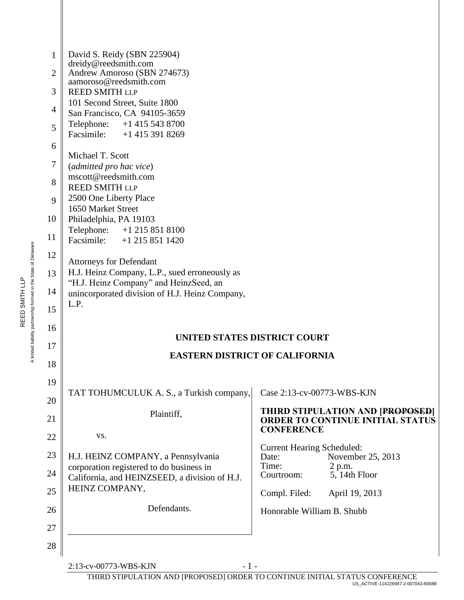| 1<br>$\overline{2}$ | David S. Reidy (SBN 225904)<br>dreidy@reedsmith.com<br>Andrew Amoroso (SBN 274673)        |                                                                             |  |  |
|---------------------|-------------------------------------------------------------------------------------------|-----------------------------------------------------------------------------|--|--|
|                     | aamoroso@reedsmith.com                                                                    |                                                                             |  |  |
| 3                   | <b>REED SMITH LLP</b><br>101 Second Street, Suite 1800                                    |                                                                             |  |  |
| 4                   | San Francisco, CA 94105-3659                                                              |                                                                             |  |  |
| 5                   | Telephone:<br>$+1$ 415 543 8700<br>Facsimile: +1 415 391 8269                             |                                                                             |  |  |
| 6                   |                                                                                           |                                                                             |  |  |
| 7                   | Michael T. Scott<br>(admitted pro hac vice)                                               |                                                                             |  |  |
| 8                   | mscott@reedsmith.com<br><b>REED SMITH LLP</b>                                             |                                                                             |  |  |
| 9                   | 2500 One Liberty Place<br>1650 Market Street                                              |                                                                             |  |  |
| 10                  | Philadelphia, PA 19103                                                                    |                                                                             |  |  |
| 11                  | Telephone:<br>$+1$ 215 851 8100<br>Facsimile: +1 215 851 1420                             |                                                                             |  |  |
| 12                  | <b>Attorneys for Defendant</b>                                                            |                                                                             |  |  |
| 13                  | H.J. Heinz Company, L.P., sued erroneously as                                             |                                                                             |  |  |
| 14                  | "H.J. Heinz Company" and HeinzSeed, an<br>unincorporated division of H.J. Heinz Company,  |                                                                             |  |  |
| 15                  | L.P.                                                                                      |                                                                             |  |  |
| 16                  |                                                                                           |                                                                             |  |  |
| 17                  | <b>UNITED STATES DISTRICT COURT</b>                                                       |                                                                             |  |  |
| 18                  | <b>EASTERN DISTRICT OF CALIFORNIA</b>                                                     |                                                                             |  |  |
| 19                  |                                                                                           |                                                                             |  |  |
| 20                  | TAT TOHUMCULUK A. S., a Turkish company,                                                  | Case 2:13-cv-00773-WBS-KJN                                                  |  |  |
| 21                  | Plaintiff,                                                                                | THIRD STIPULATION AND [PROPOSED]<br><b>ORDER TO CONTINUE INITIAL STATUS</b> |  |  |
| 22                  | VS.                                                                                       | <b>CONFERENCE</b>                                                           |  |  |
| 23                  | H.J. HEINZ COMPANY, a Pennsylvania                                                        | <b>Current Hearing Scheduled:</b><br>November 25, 2013<br>Date:             |  |  |
| 24                  | corporation registered to do business in<br>California, and HEINZSEED, a division of H.J. | Time:<br>2 p.m.<br>5, 14th Floor<br>Courtroom:                              |  |  |
| 25                  | HEINZ COMPANY,                                                                            | Compl. Filed:<br>April 19, 2013                                             |  |  |
| 26                  | Defendants.                                                                               | Honorable William B. Shubb                                                  |  |  |
| 27                  |                                                                                           |                                                                             |  |  |
| 28                  |                                                                                           |                                                                             |  |  |
|                     | 2:13-cv-00773-WBS-KJN<br>$-1-$                                                            |                                                                             |  |  |

THIRD STIPULATION AND [PROPOSED] ORDER TO CONTINUE INITIAL STATUS CONFERENCE US\_ACTIVE-114226947.2-007043-60088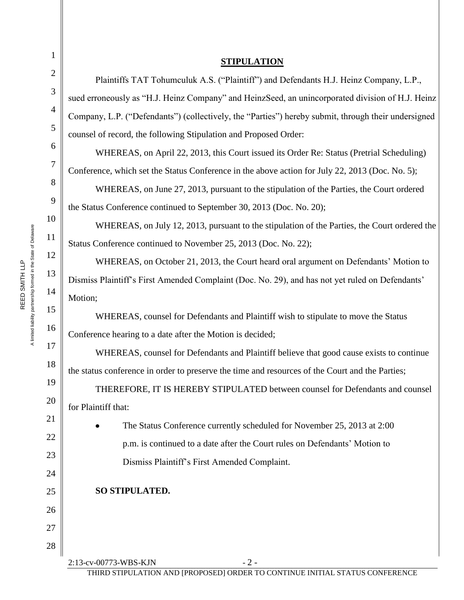| <b>STIPULATION</b>                                                                                  |                                                                            |  |
|-----------------------------------------------------------------------------------------------------|----------------------------------------------------------------------------|--|
| Plaintiffs TAT Tohumculuk A.S. ("Plaintiff") and Defendants H.J. Heinz Company, L.P.,               |                                                                            |  |
| sued erroneously as "H.J. Heinz Company" and HeinzSeed, an unincorporated division of H.J. Heinz    |                                                                            |  |
| Company, L.P. ("Defendants") (collectively, the "Parties") hereby submit, through their undersigned |                                                                            |  |
| counsel of record, the following Stipulation and Proposed Order:                                    |                                                                            |  |
| WHEREAS, on April 22, 2013, this Court issued its Order Re: Status (Pretrial Scheduling)            |                                                                            |  |
| Conference, which set the Status Conference in the above action for July 22, 2013 (Doc. No. 5);     |                                                                            |  |
| WHEREAS, on June 27, 2013, pursuant to the stipulation of the Parties, the Court ordered            |                                                                            |  |
| the Status Conference continued to September 30, 2013 (Doc. No. 20);                                |                                                                            |  |
| WHEREAS, on July 12, 2013, pursuant to the stipulation of the Parties, the Court ordered the        |                                                                            |  |
| Status Conference continued to November 25, 2013 (Doc. No. 22);                                     |                                                                            |  |
| WHEREAS, on October 21, 2013, the Court heard oral argument on Defendants' Motion to                |                                                                            |  |
| Dismiss Plaintiff's First Amended Complaint (Doc. No. 29), and has not yet ruled on Defendants'     |                                                                            |  |
|                                                                                                     | Motion;                                                                    |  |
| WHEREAS, counsel for Defendants and Plaintiff wish to stipulate to move the Status                  |                                                                            |  |
| Conference hearing to a date after the Motion is decided;                                           |                                                                            |  |
| WHEREAS, counsel for Defendants and Plaintiff believe that good cause exists to continue            |                                                                            |  |
| the status conference in order to preserve the time and resources of the Court and the Parties;     |                                                                            |  |
| THEREFORE, IT IS HEREBY STIPULATED between counsel for Defendants and counsel                       |                                                                            |  |
| for Plaintiff that:                                                                                 |                                                                            |  |
|                                                                                                     | The Status Conference currently scheduled for November 25, 2013 at 2:00    |  |
|                                                                                                     | p.m. is continued to a date after the Court rules on Defendants' Motion to |  |
|                                                                                                     | Dismiss Plaintiff's First Amended Complaint.                               |  |
|                                                                                                     |                                                                            |  |
|                                                                                                     | SO STIPULATED.                                                             |  |
|                                                                                                     |                                                                            |  |
|                                                                                                     |                                                                            |  |
|                                                                                                     |                                                                            |  |

A limited liability partnership formed in the State of Delaware A limited liability partnership formed in the State of Delaware REED SMITH LLP REED SMITH LLP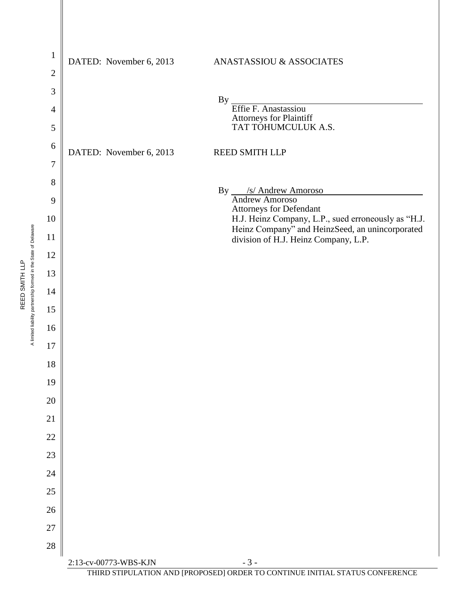

THIRD STIPULATION AND [PROPOSED] ORDER TO CONTINUE INITIAL STATUS CONFERENCE

A limited liability partnership formed in the State of Delaware A limited liability partnership formed in the State of Delaware REED SMITH LLP REED SMITH LLP